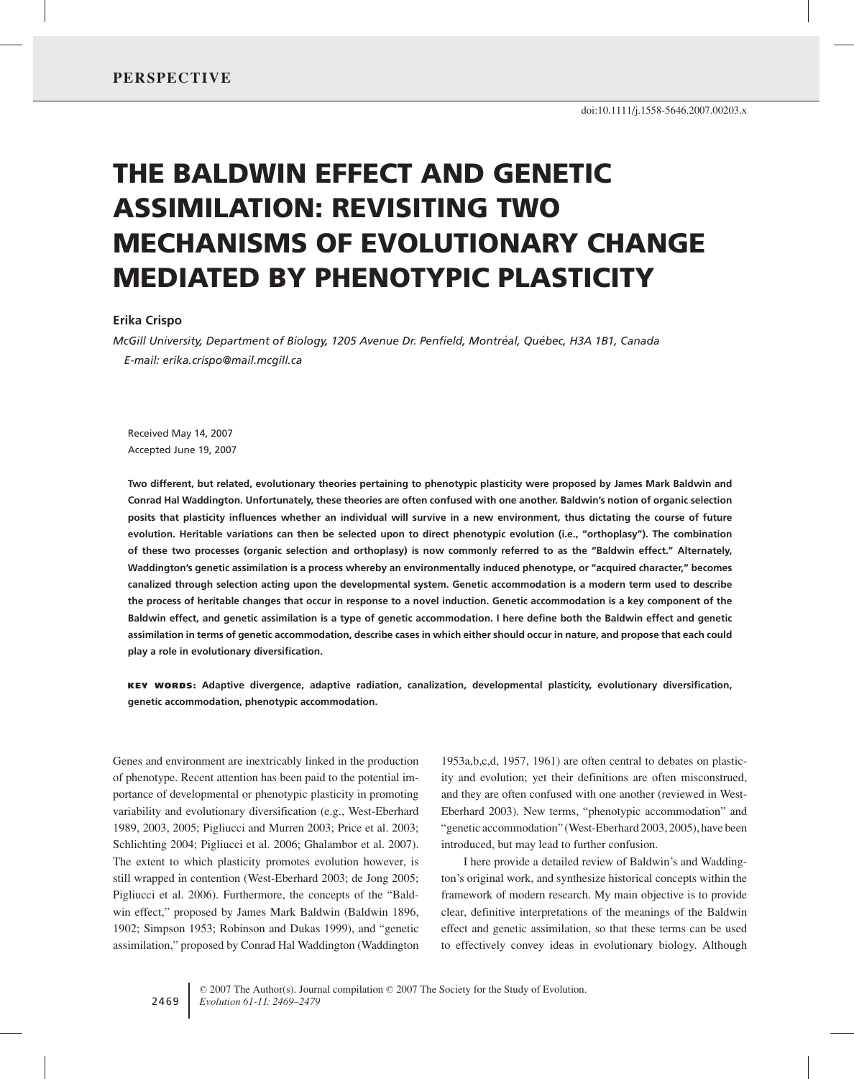# **THE BALDWIN EFFECT AND GENETIC ASSIMILATION: REVISITING TWO MECHANISMS OF EVOLUTIONARY CHANGE MEDIATED BY PHENOTYPIC PLASTICITY**

### **Erika Crispo**

*McGill University, Department of Biology, 1205 Avenue Dr. Penfield, Montreal, Qu ´ ebec, H3A 1B1, Canada ´ E-mail: erika.crispo@mail.mcgill.ca*

Received May 14, 2007 Accepted June 19, 2007

**Two different, but related, evolutionary theories pertaining to phenotypic plasticity were proposed by James Mark Baldwin and Conrad Hal Waddington. Unfortunately, these theories are often confused with one another. Baldwin's notion of organic selection posits that plasticity influences whether an individual will survive in a new environment, thus dictating the course of future evolution. Heritable variations can then be selected upon to direct phenotypic evolution (i.e., "orthoplasy"). The combination of these two processes (organic selection and orthoplasy) is now commonly referred to as the "Baldwin effect." Alternately, Waddington's genetic assimilation is a process whereby an environmentally induced phenotype, or "acquired character," becomes canalized through selection acting upon the developmental system. Genetic accommodation is a modern term used to describe the process of heritable changes that occur in response to a novel induction. Genetic accommodation is a key component of the Baldwin effect, and genetic assimilation is a type of genetic accommodation. I here define both the Baldwin effect and genetic assimilation in terms of genetic accommodation, describe cases in which either should occur in nature, and propose that each could play a role in evolutionary diversification.**

**KEY WORDS: Adaptive divergence, adaptive radiation, canalization, developmental plasticity, evolutionary diversification, genetic accommodation, phenotypic accommodation.**

Genes and environment are inextricably linked in the production of phenotype. Recent attention has been paid to the potential importance of developmental or phenotypic plasticity in promoting variability and evolutionary diversification (e.g., West-Eberhard 1989, 2003, 2005; Pigliucci and Murren 2003; Price et al. 2003; Schlichting 2004; Pigliucci et al. 2006; Ghalambor et al. 2007). The extent to which plasticity promotes evolution however, is still wrapped in contention (West-Eberhard 2003; de Jong 2005; Pigliucci et al. 2006). Furthermore, the concepts of the "Baldwin effect," proposed by James Mark Baldwin (Baldwin 1896, 1902; Simpson 1953; Robinson and Dukas 1999), and "genetic assimilation," proposed by Conrad Hal Waddington (Waddington

1953a,b,c,d, 1957, 1961) are often central to debates on plasticity and evolution; yet their definitions are often misconstrued, and they are often confused with one another (reviewed in West-Eberhard 2003). New terms, "phenotypic accommodation" and "genetic accommodation" (West-Eberhard 2003, 2005), have been introduced, but may lead to further confusion.

I here provide a detailed review of Baldwin's and Waddington's original work, and synthesize historical concepts within the framework of modern research. My main objective is to provide clear, definitive interpretations of the meanings of the Baldwin effect and genetic assimilation, so that these terms can be used to effectively convey ideas in evolutionary biology. Although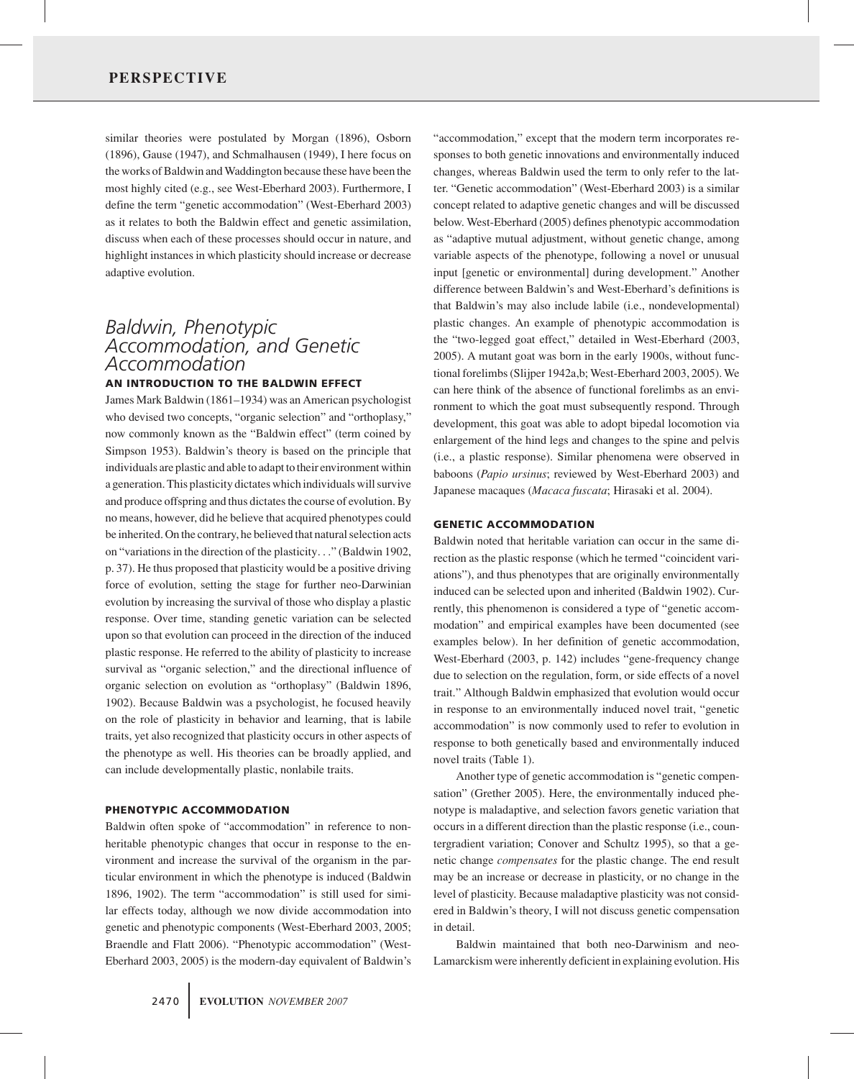similar theories were postulated by Morgan (1896), Osborn (1896), Gause (1947), and Schmalhausen (1949), I here focus on the works of Baldwin and Waddington because these have been the most highly cited (e.g., see West-Eberhard 2003). Furthermore, I define the term "genetic accommodation" (West-Eberhard 2003) as it relates to both the Baldwin effect and genetic assimilation, discuss when each of these processes should occur in nature, and highlight instances in which plasticity should increase or decrease adaptive evolution.

# *Baldwin, Phenotypic Accommodation, and Genetic Accommodation*

#### **AN INTRODUCTION TO THE BALDWIN EFFECT**

James Mark Baldwin (1861–1934) was an American psychologist who devised two concepts, "organic selection" and "orthoplasy," now commonly known as the "Baldwin effect" (term coined by Simpson 1953). Baldwin's theory is based on the principle that individuals are plastic and able to adapt to their environment within a generation. This plasticity dictates which individuals will survive and produce offspring and thus dictates the course of evolution. By no means, however, did he believe that acquired phenotypes could be inherited. On the contrary, he believed that natural selection acts on "variations in the direction of the plasticity..." (Baldwin 1902, p. 37). He thus proposed that plasticity would be a positive driving force of evolution, setting the stage for further neo-Darwinian evolution by increasing the survival of those who display a plastic response. Over time, standing genetic variation can be selected upon so that evolution can proceed in the direction of the induced plastic response. He referred to the ability of plasticity to increase survival as "organic selection," and the directional influence of organic selection on evolution as "orthoplasy" (Baldwin 1896, 1902). Because Baldwin was a psychologist, he focused heavily on the role of plasticity in behavior and learning, that is labile traits, yet also recognized that plasticity occurs in other aspects of the phenotype as well. His theories can be broadly applied, and can include developmentally plastic, nonlabile traits.

#### **PHENOTYPIC ACCOMMODATION**

Baldwin often spoke of "accommodation" in reference to nonheritable phenotypic changes that occur in response to the environment and increase the survival of the organism in the particular environment in which the phenotype is induced (Baldwin 1896, 1902). The term "accommodation" is still used for similar effects today, although we now divide accommodation into genetic and phenotypic components (West-Eberhard 2003, 2005; Braendle and Flatt 2006). "Phenotypic accommodation" (West-Eberhard 2003, 2005) is the modern-day equivalent of Baldwin's "accommodation," except that the modern term incorporates responses to both genetic innovations and environmentally induced changes, whereas Baldwin used the term to only refer to the latter. "Genetic accommodation" (West-Eberhard 2003) is a similar concept related to adaptive genetic changes and will be discussed below. West-Eberhard (2005) defines phenotypic accommodation as "adaptive mutual adjustment, without genetic change, among variable aspects of the phenotype, following a novel or unusual input [genetic or environmental] during development." Another difference between Baldwin's and West-Eberhard's definitions is that Baldwin's may also include labile (i.e., nondevelopmental) plastic changes. An example of phenotypic accommodation is the "two-legged goat effect," detailed in West-Eberhard (2003, 2005). A mutant goat was born in the early 1900s, without functional forelimbs (Slijper 1942a,b; West-Eberhard 2003, 2005). We can here think of the absence of functional forelimbs as an environment to which the goat must subsequently respond. Through development, this goat was able to adopt bipedal locomotion via enlargement of the hind legs and changes to the spine and pelvis (i.e., a plastic response). Similar phenomena were observed in baboons (*Papio ursinus*; reviewed by West-Eberhard 2003) and Japanese macaques (*Macaca fuscata*; Hirasaki et al. 2004).

#### **GENETIC ACCOMMODATION**

Baldwin noted that heritable variation can occur in the same direction as the plastic response (which he termed "coincident variations"), and thus phenotypes that are originally environmentally induced can be selected upon and inherited (Baldwin 1902). Currently, this phenomenon is considered a type of "genetic accommodation" and empirical examples have been documented (see examples below). In her definition of genetic accommodation, West-Eberhard (2003, p. 142) includes "gene-frequency change due to selection on the regulation, form, or side effects of a novel trait." Although Baldwin emphasized that evolution would occur in response to an environmentally induced novel trait, "genetic accommodation" is now commonly used to refer to evolution in response to both genetically based and environmentally induced novel traits (Table 1).

Another type of genetic accommodation is "genetic compensation" (Grether 2005). Here, the environmentally induced phenotype is maladaptive, and selection favors genetic variation that occurs in a different direction than the plastic response (i.e., countergradient variation; Conover and Schultz 1995), so that a genetic change *compensates* for the plastic change. The end result may be an increase or decrease in plasticity, or no change in the level of plasticity. Because maladaptive plasticity was not considered in Baldwin's theory, I will not discuss genetic compensation in detail.

Baldwin maintained that both neo-Darwinism and neo-Lamarckism were inherently deficient in explaining evolution. His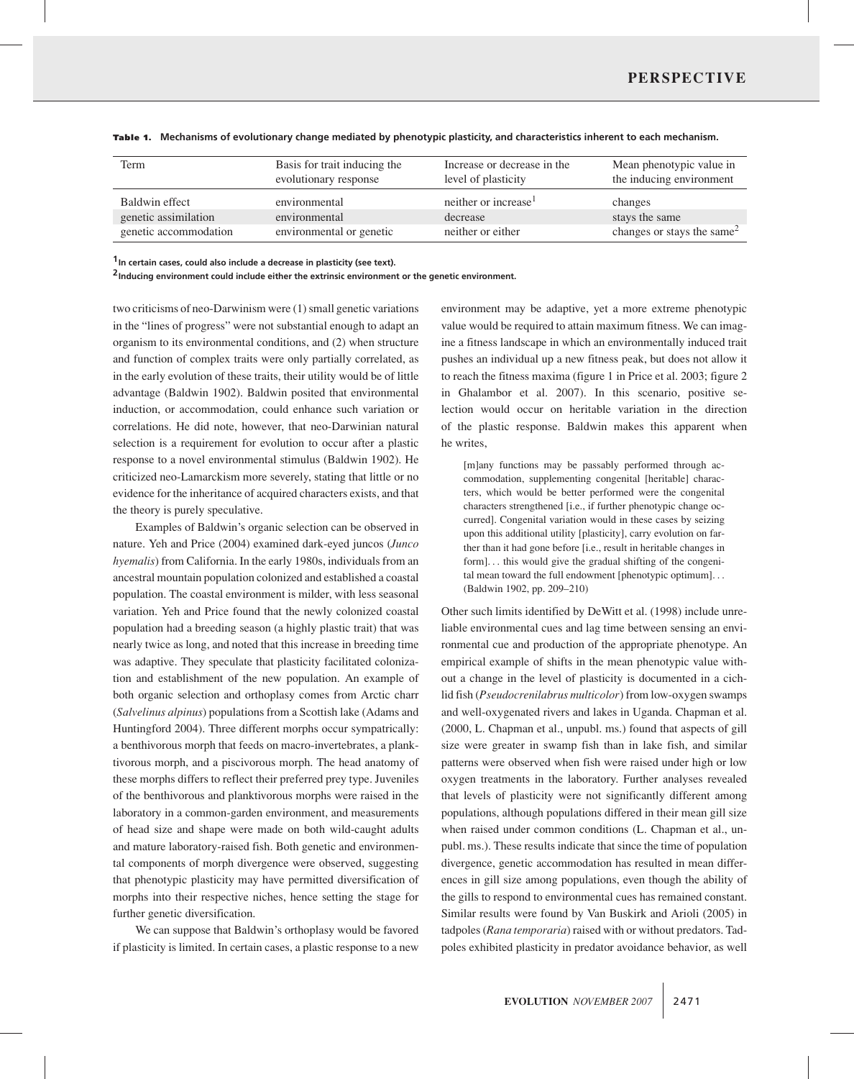| Term                  | Basis for trait inducing the<br>evolutionary response | Increase or decrease in the<br>level of plasticity | Mean phenotypic value in<br>the inducing environment |
|-----------------------|-------------------------------------------------------|----------------------------------------------------|------------------------------------------------------|
| Baldwin effect        | environmental                                         | neither or increase <sup>1</sup>                   | changes                                              |
| genetic assimilation  | environmental                                         | decrease                                           | stays the same                                       |
| genetic accommodation | environmental or genetic                              | neither or either                                  | changes or stays the same <sup>2</sup>               |

**Table 1. Mechanisms of evolutionary change mediated by phenotypic plasticity, and characteristics inherent to each mechanism.**

**1In certain cases, could also include a decrease in plasticity (see text).**

**2Inducing environment could include either the extrinsic environment or the genetic environment.**

two criticisms of neo-Darwinism were (1) small genetic variations in the "lines of progress" were not substantial enough to adapt an organism to its environmental conditions, and (2) when structure and function of complex traits were only partially correlated, as in the early evolution of these traits, their utility would be of little advantage (Baldwin 1902). Baldwin posited that environmental induction, or accommodation, could enhance such variation or correlations. He did note, however, that neo-Darwinian natural selection is a requirement for evolution to occur after a plastic response to a novel environmental stimulus (Baldwin 1902). He criticized neo-Lamarckism more severely, stating that little or no evidence for the inheritance of acquired characters exists, and that the theory is purely speculative.

Examples of Baldwin's organic selection can be observed in nature. Yeh and Price (2004) examined dark-eyed juncos (*Junco hyemalis*) from California. In the early 1980s, individuals from an ancestral mountain population colonized and established a coastal population. The coastal environment is milder, with less seasonal variation. Yeh and Price found that the newly colonized coastal population had a breeding season (a highly plastic trait) that was nearly twice as long, and noted that this increase in breeding time was adaptive. They speculate that plasticity facilitated colonization and establishment of the new population. An example of both organic selection and orthoplasy comes from Arctic charr (*Salvelinus alpinus*) populations from a Scottish lake (Adams and Huntingford 2004). Three different morphs occur sympatrically: a benthivorous morph that feeds on macro-invertebrates, a planktivorous morph, and a piscivorous morph. The head anatomy of these morphs differs to reflect their preferred prey type. Juveniles of the benthivorous and planktivorous morphs were raised in the laboratory in a common-garden environment, and measurements of head size and shape were made on both wild-caught adults and mature laboratory-raised fish. Both genetic and environmental components of morph divergence were observed, suggesting that phenotypic plasticity may have permitted diversification of morphs into their respective niches, hence setting the stage for further genetic diversification.

We can suppose that Baldwin's orthoplasy would be favored if plasticity is limited. In certain cases, a plastic response to a new environment may be adaptive, yet a more extreme phenotypic value would be required to attain maximum fitness. We can imagine a fitness landscape in which an environmentally induced trait pushes an individual up a new fitness peak, but does not allow it to reach the fitness maxima (figure 1 in Price et al. 2003; figure 2 in Ghalambor et al. 2007). In this scenario, positive selection would occur on heritable variation in the direction of the plastic response. Baldwin makes this apparent when he writes,

[m]any functions may be passably performed through accommodation, supplementing congenital [heritable] characters, which would be better performed were the congenital characters strengthened [i.e., if further phenotypic change occurred]. Congenital variation would in these cases by seizing upon this additional utility [plasticity], carry evolution on farther than it had gone before [i.e., result in heritable changes in form]... this would give the gradual shifting of the congenital mean toward the full endowment [phenotypic optimum]... (Baldwin 1902, pp. 209–210)

Other such limits identified by DeWitt et al. (1998) include unreliable environmental cues and lag time between sensing an environmental cue and production of the appropriate phenotype. An empirical example of shifts in the mean phenotypic value without a change in the level of plasticity is documented in a cichlid fish (*Pseudocrenilabrus multicolor*) from low-oxygen swamps and well-oxygenated rivers and lakes in Uganda. Chapman et al. (2000, L. Chapman et al., unpubl. ms.) found that aspects of gill size were greater in swamp fish than in lake fish, and similar patterns were observed when fish were raised under high or low oxygen treatments in the laboratory. Further analyses revealed that levels of plasticity were not significantly different among populations, although populations differed in their mean gill size when raised under common conditions (L. Chapman et al., unpubl. ms.). These results indicate that since the time of population divergence, genetic accommodation has resulted in mean differences in gill size among populations, even though the ability of the gills to respond to environmental cues has remained constant. Similar results were found by Van Buskirk and Arioli (2005) in tadpoles (*Rana temporaria*) raised with or without predators. Tadpoles exhibited plasticity in predator avoidance behavior, as well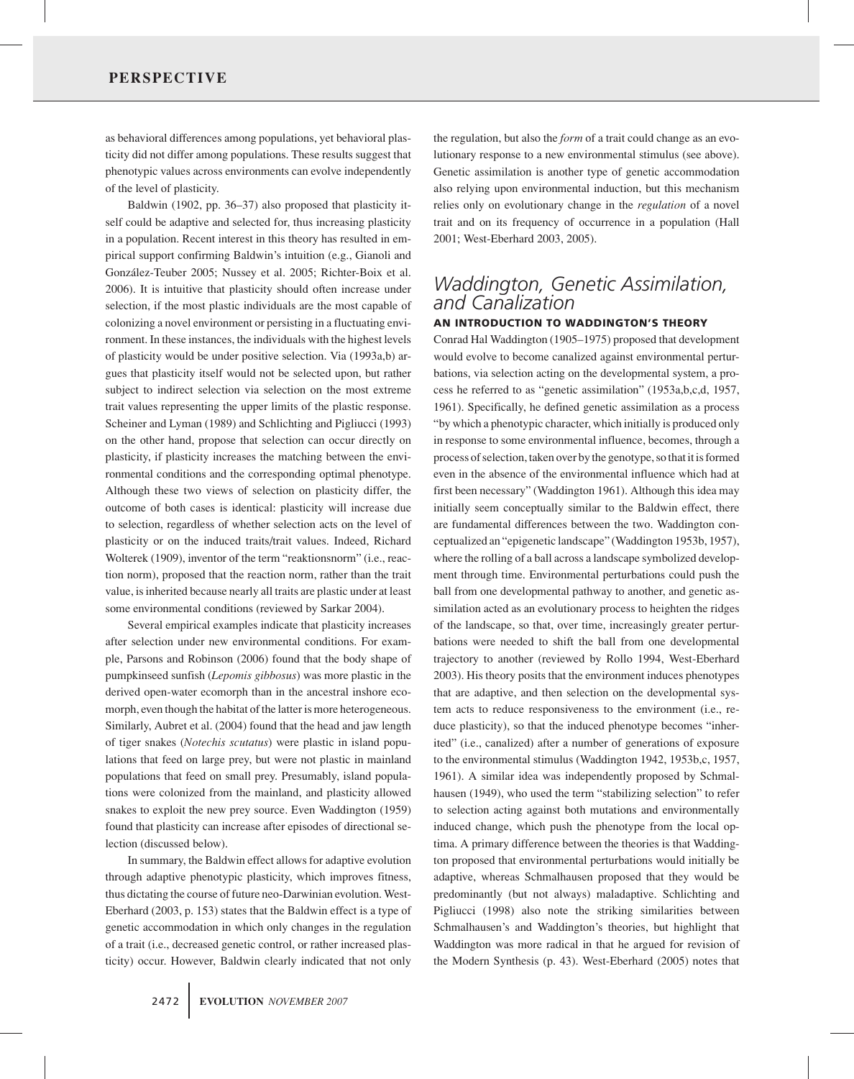as behavioral differences among populations, yet behavioral plasticity did not differ among populations. These results suggest that phenotypic values across environments can evolve independently of the level of plasticity.

Baldwin (1902, pp. 36–37) also proposed that plasticity itself could be adaptive and selected for, thus increasing plasticity in a population. Recent interest in this theory has resulted in empirical support confirming Baldwin's intuition (e.g., Gianoli and Gonzalez-Teuber 2005; Nussey et al. 2005; Richter-Boix et al. ´ 2006). It is intuitive that plasticity should often increase under selection, if the most plastic individuals are the most capable of colonizing a novel environment or persisting in a fluctuating environment. In these instances, the individuals with the highest levels of plasticity would be under positive selection. Via (1993a,b) argues that plasticity itself would not be selected upon, but rather subject to indirect selection via selection on the most extreme trait values representing the upper limits of the plastic response. Scheiner and Lyman (1989) and Schlichting and Pigliucci (1993) on the other hand, propose that selection can occur directly on plasticity, if plasticity increases the matching between the environmental conditions and the corresponding optimal phenotype. Although these two views of selection on plasticity differ, the outcome of both cases is identical: plasticity will increase due to selection, regardless of whether selection acts on the level of plasticity or on the induced traits/trait values. Indeed, Richard Wolterek (1909), inventor of the term "reaktionsnorm" (i.e., reaction norm), proposed that the reaction norm, rather than the trait value, is inherited because nearly all traits are plastic under at least some environmental conditions (reviewed by Sarkar 2004).

Several empirical examples indicate that plasticity increases after selection under new environmental conditions. For example, Parsons and Robinson (2006) found that the body shape of pumpkinseed sunfish (*Lepomis gibbosus*) was more plastic in the derived open-water ecomorph than in the ancestral inshore ecomorph, even though the habitat of the latter is more heterogeneous. Similarly, Aubret et al. (2004) found that the head and jaw length of tiger snakes (*Notechis scutatus*) were plastic in island populations that feed on large prey, but were not plastic in mainland populations that feed on small prey. Presumably, island populations were colonized from the mainland, and plasticity allowed snakes to exploit the new prey source. Even Waddington (1959) found that plasticity can increase after episodes of directional selection (discussed below).

In summary, the Baldwin effect allows for adaptive evolution through adaptive phenotypic plasticity, which improves fitness, thus dictating the course of future neo-Darwinian evolution. West-Eberhard (2003, p. 153) states that the Baldwin effect is a type of genetic accommodation in which only changes in the regulation of a trait (i.e., decreased genetic control, or rather increased plasticity) occur. However, Baldwin clearly indicated that not only the regulation, but also the *form* of a trait could change as an evolutionary response to a new environmental stimulus (see above). Genetic assimilation is another type of genetic accommodation also relying upon environmental induction, but this mechanism relies only on evolutionary change in the *regulation* of a novel trait and on its frequency of occurrence in a population (Hall 2001; West-Eberhard 2003, 2005).

# *Waddington, Genetic Assimilation, and Canalization*

### **AN INTRODUCTION TO WADDINGTON'S THEORY**

Conrad Hal Waddington (1905–1975) proposed that development would evolve to become canalized against environmental perturbations, via selection acting on the developmental system, a process he referred to as "genetic assimilation" (1953a,b,c,d, 1957, 1961). Specifically, he defined genetic assimilation as a process "by which a phenotypic character, which initially is produced only in response to some environmental influence, becomes, through a process of selection, taken over by the genotype, so that it is formed even in the absence of the environmental influence which had at first been necessary" (Waddington 1961). Although this idea may initially seem conceptually similar to the Baldwin effect, there are fundamental differences between the two. Waddington conceptualized an "epigenetic landscape" (Waddington 1953b, 1957), where the rolling of a ball across a landscape symbolized development through time. Environmental perturbations could push the ball from one developmental pathway to another, and genetic assimilation acted as an evolutionary process to heighten the ridges of the landscape, so that, over time, increasingly greater perturbations were needed to shift the ball from one developmental trajectory to another (reviewed by Rollo 1994, West-Eberhard 2003). His theory posits that the environment induces phenotypes that are adaptive, and then selection on the developmental system acts to reduce responsiveness to the environment (i.e., reduce plasticity), so that the induced phenotype becomes "inherited" (i.e., canalized) after a number of generations of exposure to the environmental stimulus (Waddington 1942, 1953b,c, 1957, 1961). A similar idea was independently proposed by Schmalhausen (1949), who used the term "stabilizing selection" to refer to selection acting against both mutations and environmentally induced change, which push the phenotype from the local optima. A primary difference between the theories is that Waddington proposed that environmental perturbations would initially be adaptive, whereas Schmalhausen proposed that they would be predominantly (but not always) maladaptive. Schlichting and Pigliucci (1998) also note the striking similarities between Schmalhausen's and Waddington's theories, but highlight that Waddington was more radical in that he argued for revision of the Modern Synthesis (p. 43). West-Eberhard (2005) notes that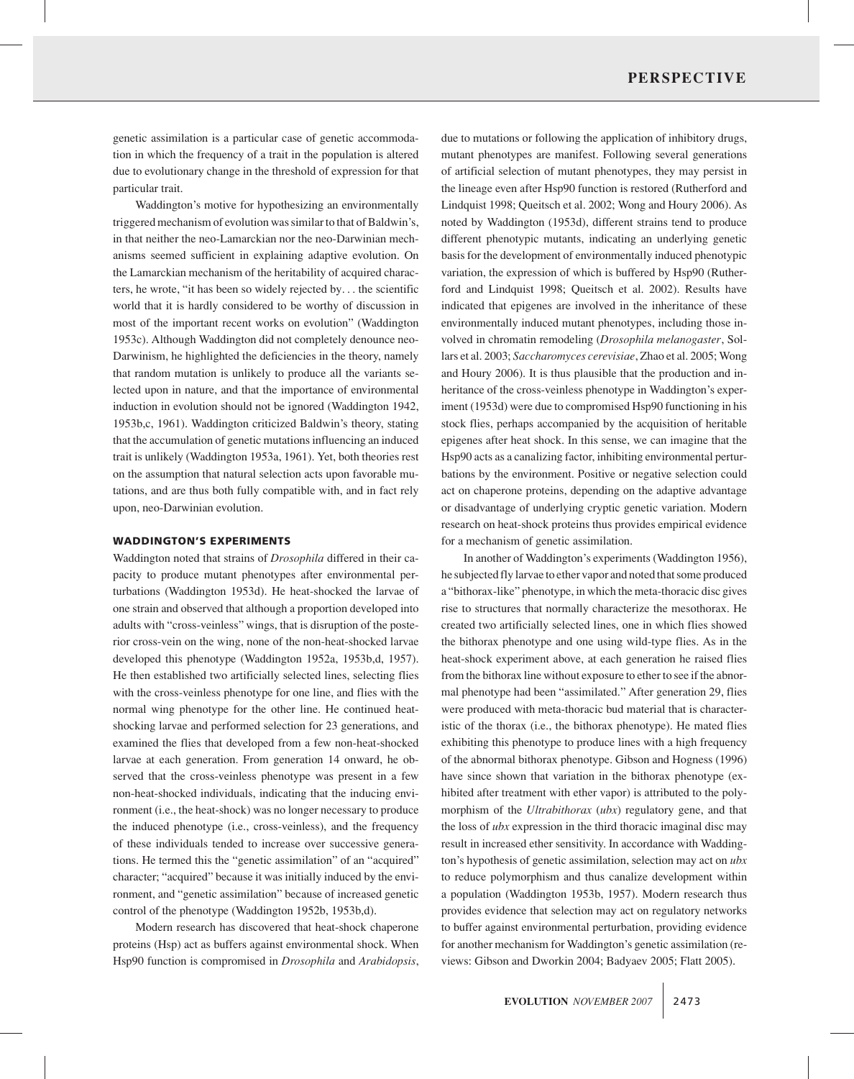genetic assimilation is a particular case of genetic accommodation in which the frequency of a trait in the population is altered due to evolutionary change in the threshold of expression for that particular trait.

Waddington's motive for hypothesizing an environmentally triggered mechanism of evolution was similar to that of Baldwin's, in that neither the neo-Lamarckian nor the neo-Darwinian mechanisms seemed sufficient in explaining adaptive evolution. On the Lamarckian mechanism of the heritability of acquired characters, he wrote, "it has been so widely rejected by... the scientific world that it is hardly considered to be worthy of discussion in most of the important recent works on evolution" (Waddington 1953c). Although Waddington did not completely denounce neo-Darwinism, he highlighted the deficiencies in the theory, namely that random mutation is unlikely to produce all the variants selected upon in nature, and that the importance of environmental induction in evolution should not be ignored (Waddington 1942, 1953b,c, 1961). Waddington criticized Baldwin's theory, stating that the accumulation of genetic mutations influencing an induced trait is unlikely (Waddington 1953a, 1961). Yet, both theories rest on the assumption that natural selection acts upon favorable mutations, and are thus both fully compatible with, and in fact rely upon, neo-Darwinian evolution.

#### **WADDINGTON'S EXPERIMENTS**

Waddington noted that strains of *Drosophila* differed in their capacity to produce mutant phenotypes after environmental perturbations (Waddington 1953d). He heat-shocked the larvae of one strain and observed that although a proportion developed into adults with "cross-veinless" wings, that is disruption of the posterior cross-vein on the wing, none of the non-heat-shocked larvae developed this phenotype (Waddington 1952a, 1953b,d, 1957). He then established two artificially selected lines, selecting flies with the cross-veinless phenotype for one line, and flies with the normal wing phenotype for the other line. He continued heatshocking larvae and performed selection for 23 generations, and examined the flies that developed from a few non-heat-shocked larvae at each generation. From generation 14 onward, he observed that the cross-veinless phenotype was present in a few non-heat-shocked individuals, indicating that the inducing environment (i.e., the heat-shock) was no longer necessary to produce the induced phenotype (i.e., cross-veinless), and the frequency of these individuals tended to increase over successive generations. He termed this the "genetic assimilation" of an "acquired" character; "acquired" because it was initially induced by the environment, and "genetic assimilation" because of increased genetic control of the phenotype (Waddington 1952b, 1953b,d).

Modern research has discovered that heat-shock chaperone proteins (Hsp) act as buffers against environmental shock. When Hsp90 function is compromised in *Drosophila* and *Arabidopsis*, due to mutations or following the application of inhibitory drugs, mutant phenotypes are manifest. Following several generations of artificial selection of mutant phenotypes, they may persist in the lineage even after Hsp90 function is restored (Rutherford and Lindquist 1998; Queitsch et al. 2002; Wong and Houry 2006). As noted by Waddington (1953d), different strains tend to produce different phenotypic mutants, indicating an underlying genetic basis for the development of environmentally induced phenotypic variation, the expression of which is buffered by Hsp90 (Rutherford and Lindquist 1998; Queitsch et al. 2002). Results have indicated that epigenes are involved in the inheritance of these environmentally induced mutant phenotypes, including those involved in chromatin remodeling (*Drosophila melanogaster*, Sollars et al. 2003; *Saccharomyces cerevisiae*, Zhao et al. 2005; Wong and Houry 2006). It is thus plausible that the production and inheritance of the cross-veinless phenotype in Waddington's experiment (1953d) were due to compromised Hsp90 functioning in his stock flies, perhaps accompanied by the acquisition of heritable epigenes after heat shock. In this sense, we can imagine that the Hsp90 acts as a canalizing factor, inhibiting environmental perturbations by the environment. Positive or negative selection could act on chaperone proteins, depending on the adaptive advantage or disadvantage of underlying cryptic genetic variation. Modern research on heat-shock proteins thus provides empirical evidence for a mechanism of genetic assimilation.

In another of Waddington's experiments (Waddington 1956), he subjected fly larvae to ether vapor and noted that some produced a "bithorax-like" phenotype, in which the meta-thoracic disc gives rise to structures that normally characterize the mesothorax. He created two artificially selected lines, one in which flies showed the bithorax phenotype and one using wild-type flies. As in the heat-shock experiment above, at each generation he raised flies from the bithorax line without exposure to ether to see if the abnormal phenotype had been "assimilated." After generation 29, flies were produced with meta-thoracic bud material that is characteristic of the thorax (i.e., the bithorax phenotype). He mated flies exhibiting this phenotype to produce lines with a high frequency of the abnormal bithorax phenotype. Gibson and Hogness (1996) have since shown that variation in the bithorax phenotype (exhibited after treatment with ether vapor) is attributed to the polymorphism of the *Ultrabithorax* (*ubx*) regulatory gene, and that the loss of *ubx* expression in the third thoracic imaginal disc may result in increased ether sensitivity. In accordance with Waddington's hypothesis of genetic assimilation, selection may act on *ubx* to reduce polymorphism and thus canalize development within a population (Waddington 1953b, 1957). Modern research thus provides evidence that selection may act on regulatory networks to buffer against environmental perturbation, providing evidence for another mechanism for Waddington's genetic assimilation (reviews: Gibson and Dworkin 2004; Badyaev 2005; Flatt 2005).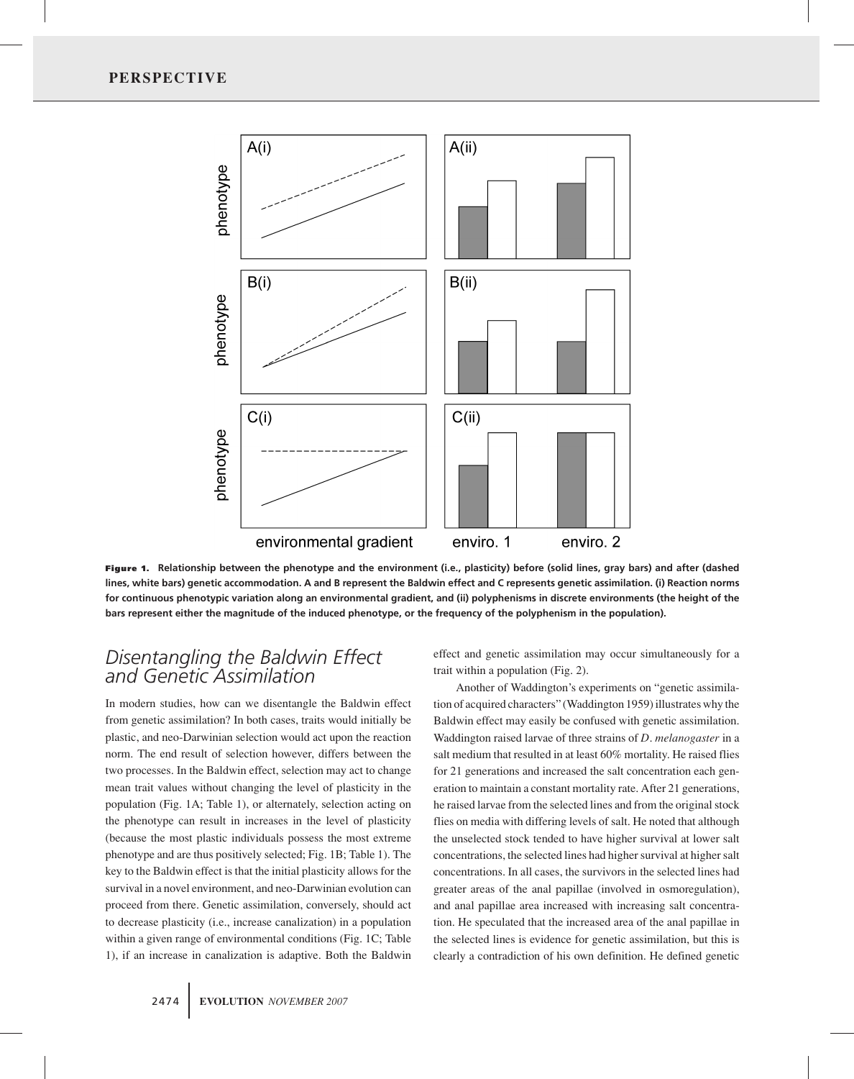

**Figure 1. Relationship between the phenotype and the environment (i.e., plasticity) before (solid lines, gray bars) and after (dashed lines, white bars) genetic accommodation. A and B represent the Baldwin effect and C represents genetic assimilation. (i) Reaction norms for continuous phenotypic variation along an environmental gradient, and (ii) polyphenisms in discrete environments (the height of the bars represent either the magnitude of the induced phenotype, or the frequency of the polyphenism in the population).**

# *Disentangling the Baldwin Effect and Genetic Assimilation*

In modern studies, how can we disentangle the Baldwin effect from genetic assimilation? In both cases, traits would initially be plastic, and neo-Darwinian selection would act upon the reaction norm. The end result of selection however, differs between the two processes. In the Baldwin effect, selection may act to change mean trait values without changing the level of plasticity in the population (Fig. 1A; Table 1), or alternately, selection acting on the phenotype can result in increases in the level of plasticity (because the most plastic individuals possess the most extreme phenotype and are thus positively selected; Fig. 1B; Table 1). The key to the Baldwin effect is that the initial plasticity allows for the survival in a novel environment, and neo-Darwinian evolution can proceed from there. Genetic assimilation, conversely, should act to decrease plasticity (i.e., increase canalization) in a population within a given range of environmental conditions (Fig. 1C; Table 1), if an increase in canalization is adaptive. Both the Baldwin effect and genetic assimilation may occur simultaneously for a trait within a population (Fig. 2).

Another of Waddington's experiments on "genetic assimilation of acquired characters" (Waddington 1959) illustrates why the Baldwin effect may easily be confused with genetic assimilation. Waddington raised larvae of three strains of *D*. *melanogaster* in a salt medium that resulted in at least 60% mortality. He raised flies for 21 generations and increased the salt concentration each generation to maintain a constant mortality rate. After 21 generations, he raised larvae from the selected lines and from the original stock flies on media with differing levels of salt. He noted that although the unselected stock tended to have higher survival at lower salt concentrations, the selected lines had higher survival at higher salt concentrations. In all cases, the survivors in the selected lines had greater areas of the anal papillae (involved in osmoregulation), and anal papillae area increased with increasing salt concentration. He speculated that the increased area of the anal papillae in the selected lines is evidence for genetic assimilation, but this is clearly a contradiction of his own definition. He defined genetic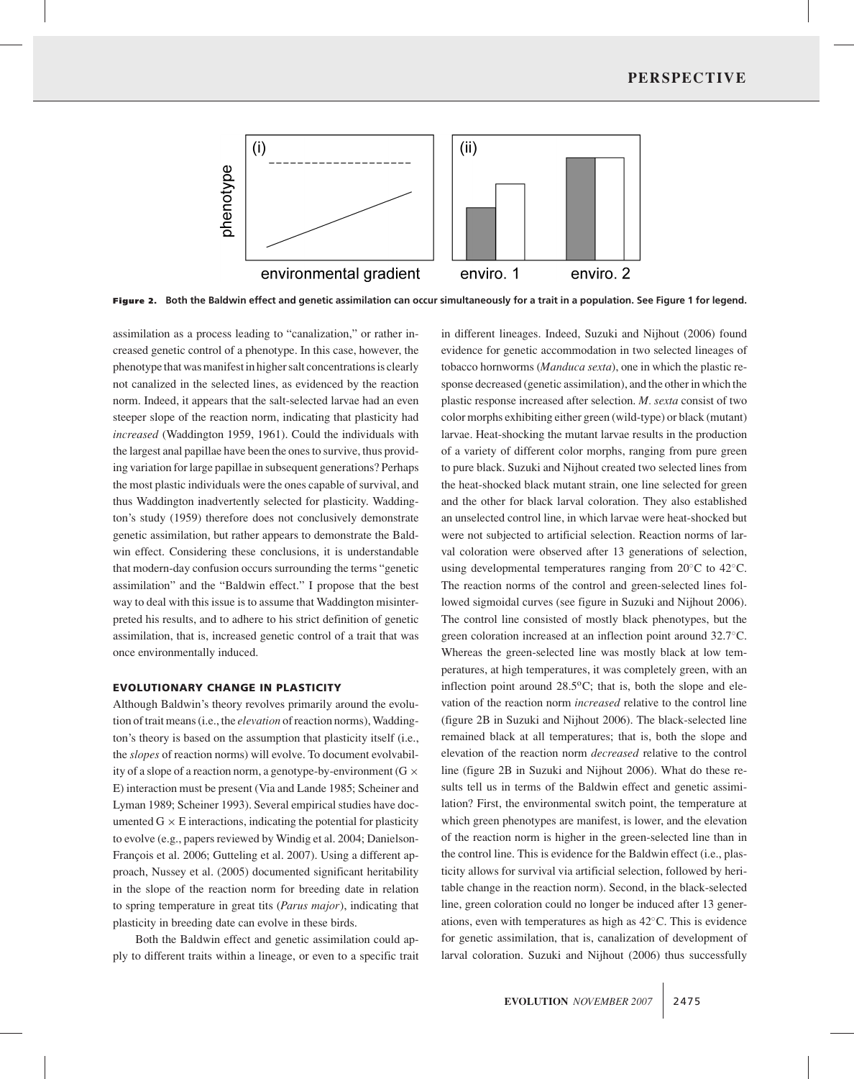

**Figure 2. Both the Baldwin effect and genetic assimilation can occur simultaneously for a trait in a population. See Figure 1 for legend.**

assimilation as a process leading to "canalization," or rather increased genetic control of a phenotype. In this case, however, the phenotype that was manifest in higher salt concentrations is clearly not canalized in the selected lines, as evidenced by the reaction norm. Indeed, it appears that the salt-selected larvae had an even steeper slope of the reaction norm, indicating that plasticity had *increased* (Waddington 1959, 1961). Could the individuals with the largest anal papillae have been the ones to survive, thus providing variation for large papillae in subsequent generations? Perhaps the most plastic individuals were the ones capable of survival, and thus Waddington inadvertently selected for plasticity. Waddington's study (1959) therefore does not conclusively demonstrate genetic assimilation, but rather appears to demonstrate the Baldwin effect. Considering these conclusions, it is understandable that modern-day confusion occurs surrounding the terms "genetic assimilation" and the "Baldwin effect." I propose that the best way to deal with this issue is to assume that Waddington misinterpreted his results, and to adhere to his strict definition of genetic assimilation, that is, increased genetic control of a trait that was once environmentally induced.

#### **EVOLUTIONARY CHANGE IN PLASTICITY**

Although Baldwin's theory revolves primarily around the evolution of trait means (i.e., the *elevation* of reaction norms), Waddington's theory is based on the assumption that plasticity itself (i.e., the *slopes* of reaction norms) will evolve. To document evolvability of a slope of a reaction norm, a genotype-by-environment ( $G \times$ E) interaction must be present (Via and Lande 1985; Scheiner and Lyman 1989; Scheiner 1993). Several empirical studies have documented  $G \times E$  interactions, indicating the potential for plasticity to evolve (e.g., papers reviewed by Windig et al. 2004; Danielson-François et al. 2006; Gutteling et al. 2007). Using a different approach, Nussey et al. (2005) documented significant heritability in the slope of the reaction norm for breeding date in relation to spring temperature in great tits (*Parus major*), indicating that plasticity in breeding date can evolve in these birds.

Both the Baldwin effect and genetic assimilation could apply to different traits within a lineage, or even to a specific trait in different lineages. Indeed, Suzuki and Nijhout (2006) found evidence for genetic accommodation in two selected lineages of tobacco hornworms (*Manduca sexta*), one in which the plastic response decreased (genetic assimilation), and the other in which the plastic response increased after selection. *M. sexta* consist of two color morphs exhibiting either green (wild-type) or black (mutant) larvae. Heat-shocking the mutant larvae results in the production of a variety of different color morphs, ranging from pure green to pure black. Suzuki and Nijhout created two selected lines from the heat-shocked black mutant strain, one line selected for green and the other for black larval coloration. They also established an unselected control line, in which larvae were heat-shocked but were not subjected to artificial selection. Reaction norms of larval coloration were observed after 13 generations of selection, using developmental temperatures ranging from 20◦C to 42◦C. The reaction norms of the control and green-selected lines followed sigmoidal curves (see figure in Suzuki and Nijhout 2006). The control line consisted of mostly black phenotypes, but the green coloration increased at an inflection point around 32.7◦C. Whereas the green-selected line was mostly black at low temperatures, at high temperatures, it was completely green, with an inflection point around  $28.5^{\circ}$ C; that is, both the slope and elevation of the reaction norm *increased* relative to the control line (figure 2B in Suzuki and Nijhout 2006). The black-selected line remained black at all temperatures; that is, both the slope and elevation of the reaction norm *decreased* relative to the control line (figure 2B in Suzuki and Nijhout 2006). What do these results tell us in terms of the Baldwin effect and genetic assimilation? First, the environmental switch point, the temperature at which green phenotypes are manifest, is lower, and the elevation of the reaction norm is higher in the green-selected line than in the control line. This is evidence for the Baldwin effect (i.e., plasticity allows for survival via artificial selection, followed by heritable change in the reaction norm). Second, in the black-selected line, green coloration could no longer be induced after 13 generations, even with temperatures as high as 42◦C. This is evidence for genetic assimilation, that is, canalization of development of larval coloration. Suzuki and Nijhout (2006) thus successfully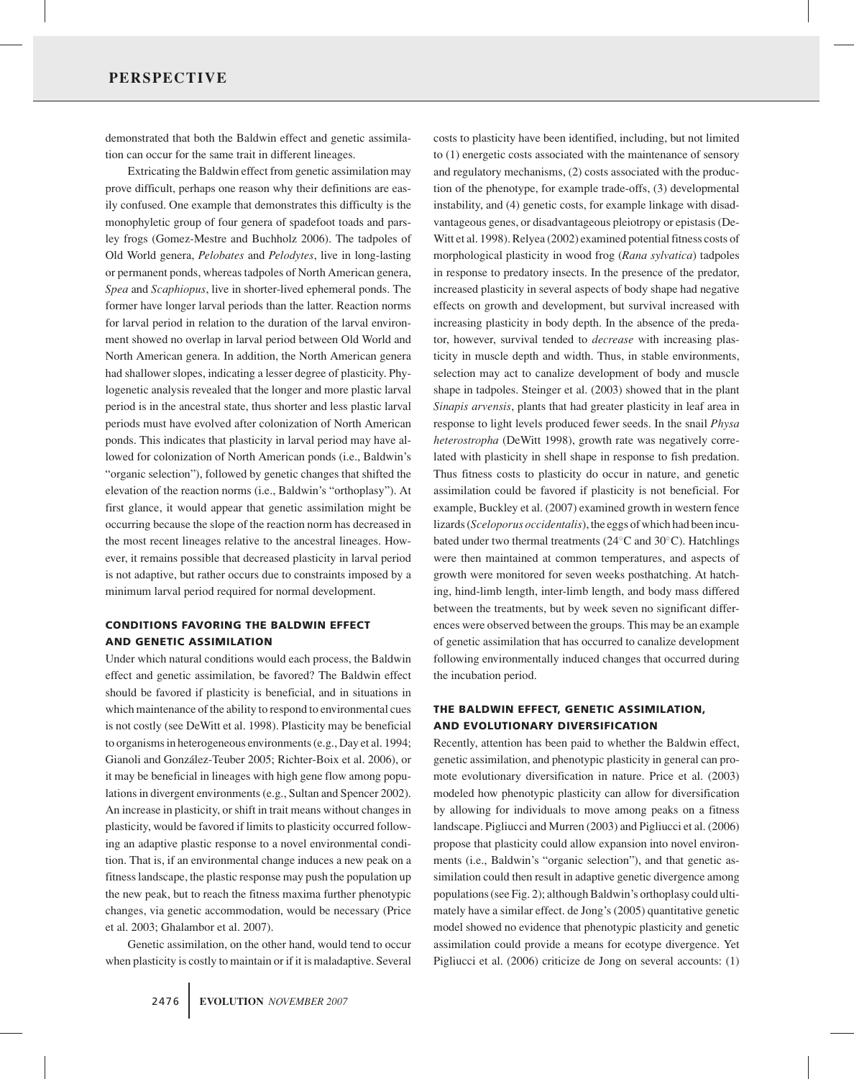demonstrated that both the Baldwin effect and genetic assimilation can occur for the same trait in different lineages.

Extricating the Baldwin effect from genetic assimilation may prove difficult, perhaps one reason why their definitions are easily confused. One example that demonstrates this difficulty is the monophyletic group of four genera of spadefoot toads and parsley frogs (Gomez-Mestre and Buchholz 2006). The tadpoles of Old World genera, *Pelobates* and *Pelodytes*, live in long-lasting or permanent ponds, whereas tadpoles of North American genera, *Spea* and *Scaphiopus*, live in shorter-lived ephemeral ponds. The former have longer larval periods than the latter. Reaction norms for larval period in relation to the duration of the larval environment showed no overlap in larval period between Old World and North American genera. In addition, the North American genera had shallower slopes, indicating a lesser degree of plasticity. Phylogenetic analysis revealed that the longer and more plastic larval period is in the ancestral state, thus shorter and less plastic larval periods must have evolved after colonization of North American ponds. This indicates that plasticity in larval period may have allowed for colonization of North American ponds (i.e., Baldwin's "organic selection"), followed by genetic changes that shifted the elevation of the reaction norms (i.e., Baldwin's "orthoplasy"). At first glance, it would appear that genetic assimilation might be occurring because the slope of the reaction norm has decreased in the most recent lineages relative to the ancestral lineages. However, it remains possible that decreased plasticity in larval period is not adaptive, but rather occurs due to constraints imposed by a minimum larval period required for normal development.

### **CONDITIONS FAVORING THE BALDWIN EFFECT AND GENETIC ASSIMILATION**

Under which natural conditions would each process, the Baldwin effect and genetic assimilation, be favored? The Baldwin effect should be favored if plasticity is beneficial, and in situations in which maintenance of the ability to respond to environmental cues is not costly (see DeWitt et al. 1998). Plasticity may be beneficial to organisms in heterogeneous environments (e.g., Day et al. 1994; Gianoli and Gonzalez-Teuber 2005; Richter-Boix et al. 2006), or ´ it may be beneficial in lineages with high gene flow among populations in divergent environments (e.g., Sultan and Spencer 2002). An increase in plasticity, or shift in trait means without changes in plasticity, would be favored if limits to plasticity occurred following an adaptive plastic response to a novel environmental condition. That is, if an environmental change induces a new peak on a fitness landscape, the plastic response may push the population up the new peak, but to reach the fitness maxima further phenotypic changes, via genetic accommodation, would be necessary (Price et al. 2003; Ghalambor et al. 2007).

Genetic assimilation, on the other hand, would tend to occur when plasticity is costly to maintain or if it is maladaptive. Several costs to plasticity have been identified, including, but not limited to (1) energetic costs associated with the maintenance of sensory and regulatory mechanisms, (2) costs associated with the production of the phenotype, for example trade-offs, (3) developmental instability, and (4) genetic costs, for example linkage with disadvantageous genes, or disadvantageous pleiotropy or epistasis (De-Witt et al. 1998). Relyea (2002) examined potential fitness costs of morphological plasticity in wood frog (*Rana sylvatica*) tadpoles in response to predatory insects. In the presence of the predator, increased plasticity in several aspects of body shape had negative effects on growth and development, but survival increased with increasing plasticity in body depth. In the absence of the predator, however, survival tended to *decrease* with increasing plasticity in muscle depth and width. Thus, in stable environments, selection may act to canalize development of body and muscle shape in tadpoles. Steinger et al. (2003) showed that in the plant *Sinapis arvensis*, plants that had greater plasticity in leaf area in response to light levels produced fewer seeds. In the snail *Physa heterostropha* (DeWitt 1998), growth rate was negatively correlated with plasticity in shell shape in response to fish predation. Thus fitness costs to plasticity do occur in nature, and genetic assimilation could be favored if plasticity is not beneficial. For example, Buckley et al. (2007) examined growth in western fence lizards (*Sceloporus occidentalis*), the eggs of which had been incubated under two thermal treatments (24◦C and 30◦C). Hatchlings were then maintained at common temperatures, and aspects of growth were monitored for seven weeks posthatching. At hatching, hind-limb length, inter-limb length, and body mass differed between the treatments, but by week seven no significant differences were observed between the groups. This may be an example of genetic assimilation that has occurred to canalize development following environmentally induced changes that occurred during the incubation period.

### **THE BALDWIN EFFECT, GENETIC ASSIMILATION, AND EVOLUTIONARY DIVERSIFICATION**

Recently, attention has been paid to whether the Baldwin effect, genetic assimilation, and phenotypic plasticity in general can promote evolutionary diversification in nature. Price et al. (2003) modeled how phenotypic plasticity can allow for diversification by allowing for individuals to move among peaks on a fitness landscape. Pigliucci and Murren (2003) and Pigliucci et al. (2006) propose that plasticity could allow expansion into novel environments (i.e., Baldwin's "organic selection"), and that genetic assimilation could then result in adaptive genetic divergence among populations (see Fig. 2); although Baldwin's orthoplasy could ultimately have a similar effect. de Jong's (2005) quantitative genetic model showed no evidence that phenotypic plasticity and genetic assimilation could provide a means for ecotype divergence. Yet Pigliucci et al. (2006) criticize de Jong on several accounts: (1)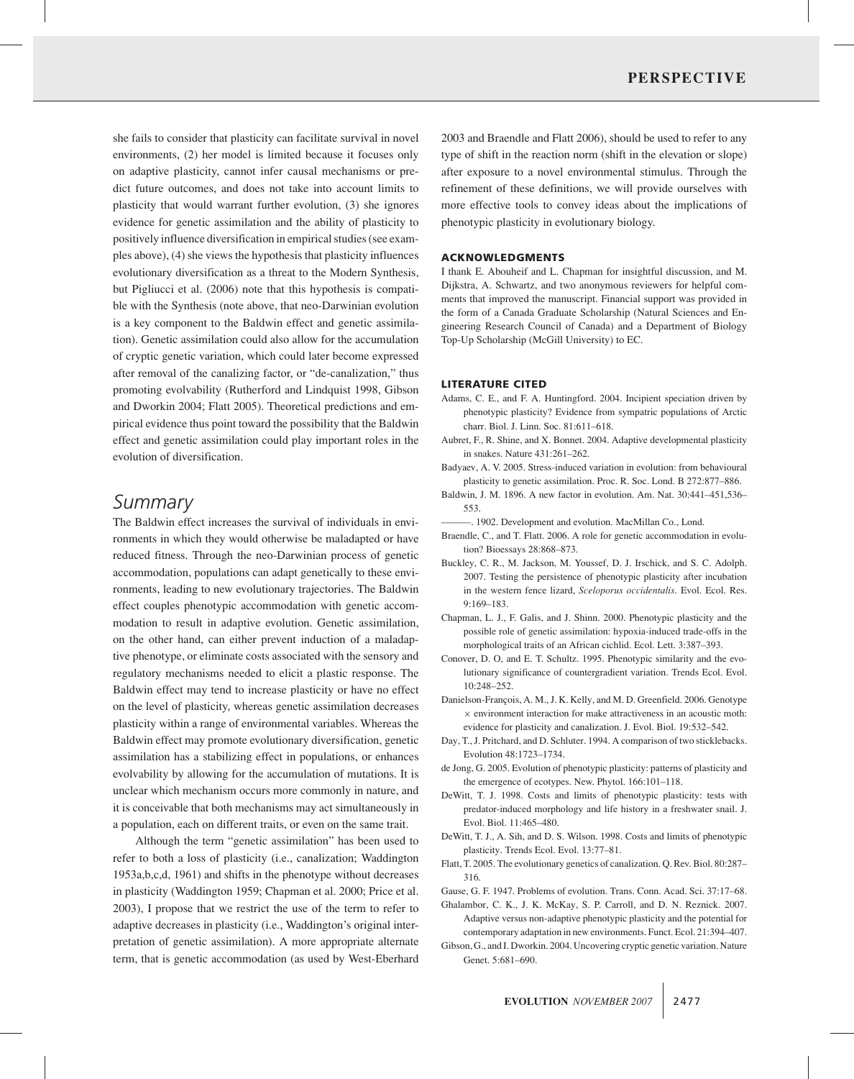she fails to consider that plasticity can facilitate survival in novel environments, (2) her model is limited because it focuses only on adaptive plasticity, cannot infer causal mechanisms or predict future outcomes, and does not take into account limits to plasticity that would warrant further evolution, (3) she ignores evidence for genetic assimilation and the ability of plasticity to positively influence diversification in empirical studies (see examples above), (4) she views the hypothesis that plasticity influences evolutionary diversification as a threat to the Modern Synthesis, but Pigliucci et al. (2006) note that this hypothesis is compatible with the Synthesis (note above, that neo-Darwinian evolution is a key component to the Baldwin effect and genetic assimilation). Genetic assimilation could also allow for the accumulation of cryptic genetic variation, which could later become expressed after removal of the canalizing factor, or "de-canalization," thus promoting evolvability (Rutherford and Lindquist 1998, Gibson and Dworkin 2004; Flatt 2005). Theoretical predictions and empirical evidence thus point toward the possibility that the Baldwin effect and genetic assimilation could play important roles in the evolution of diversification.

## *Summary*

The Baldwin effect increases the survival of individuals in environments in which they would otherwise be maladapted or have reduced fitness. Through the neo-Darwinian process of genetic accommodation, populations can adapt genetically to these environments, leading to new evolutionary trajectories. The Baldwin effect couples phenotypic accommodation with genetic accommodation to result in adaptive evolution. Genetic assimilation, on the other hand, can either prevent induction of a maladaptive phenotype, or eliminate costs associated with the sensory and regulatory mechanisms needed to elicit a plastic response. The Baldwin effect may tend to increase plasticity or have no effect on the level of plasticity, whereas genetic assimilation decreases plasticity within a range of environmental variables. Whereas the Baldwin effect may promote evolutionary diversification, genetic assimilation has a stabilizing effect in populations, or enhances evolvability by allowing for the accumulation of mutations. It is unclear which mechanism occurs more commonly in nature, and it is conceivable that both mechanisms may act simultaneously in a population, each on different traits, or even on the same trait.

Although the term "genetic assimilation" has been used to refer to both a loss of plasticity (i.e., canalization; Waddington 1953a,b,c,d, 1961) and shifts in the phenotype without decreases in plasticity (Waddington 1959; Chapman et al. 2000; Price et al. 2003), I propose that we restrict the use of the term to refer to adaptive decreases in plasticity (i.e., Waddington's original interpretation of genetic assimilation). A more appropriate alternate term, that is genetic accommodation (as used by West-Eberhard 2003 and Braendle and Flatt 2006), should be used to refer to any type of shift in the reaction norm (shift in the elevation or slope) after exposure to a novel environmental stimulus. Through the refinement of these definitions, we will provide ourselves with more effective tools to convey ideas about the implications of phenotypic plasticity in evolutionary biology.

#### **ACKNOWLEDGMENTS**

I thank E. Abouheif and L. Chapman for insightful discussion, and M. Dijkstra, A. Schwartz, and two anonymous reviewers for helpful comments that improved the manuscript. Financial support was provided in the form of a Canada Graduate Scholarship (Natural Sciences and Engineering Research Council of Canada) and a Department of Biology Top-Up Scholarship (McGill University) to EC.

#### **LITERATURE CITED**

- Adams, C. E., and F. A. Huntingford. 2004. Incipient speciation driven by phenotypic plasticity? Evidence from sympatric populations of Arctic charr. Biol. J. Linn. Soc. 81:611–618.
- Aubret, F., R. Shine, and X. Bonnet. 2004. Adaptive developmental plasticity in snakes. Nature 431:261–262.
- Badyaev, A. V. 2005. Stress-induced variation in evolution: from behavioural plasticity to genetic assimilation. Proc. R. Soc. Lond. B 272:877–886.
- Baldwin, J. M. 1896. A new factor in evolution. Am. Nat. 30:441–451,536– 553.
- ———. 1902. Development and evolution. MacMillan Co., Lond.
- Braendle, C., and T. Flatt. 2006. A role for genetic accommodation in evolution? Bioessays 28:868–873.
- Buckley, C. R., M. Jackson, M. Youssef, D. J. Irschick, and S. C. Adolph. 2007. Testing the persistence of phenotypic plasticity after incubation in the western fence lizard, *Sceloporus occidentalis*. Evol. Ecol. Res. 9:169–183.
- Chapman, L. J., F. Galis, and J. Shinn. 2000. Phenotypic plasticity and the possible role of genetic assimilation: hypoxia-induced trade-offs in the morphological traits of an African cichlid. Ecol. Lett. 3:387–393.
- Conover, D. O, and E. T. Schultz. 1995. Phenotypic similarity and the evolutionary significance of countergradient variation. Trends Ecol. Evol. 10:248–252.
- Danielson-François, A. M., J. K. Kelly, and M. D. Greenfield. 2006. Genotype  $\times$  environment interaction for make attractiveness in an acoustic moth: evidence for plasticity and canalization. J. Evol. Biol. 19:532–542.
- Day, T., J. Pritchard, and D. Schluter. 1994. A comparison of two sticklebacks. Evolution 48:1723–1734.
- de Jong, G. 2005. Evolution of phenotypic plasticity: patterns of plasticity and the emergence of ecotypes. New. Phytol. 166:101–118.
- DeWitt, T. J. 1998. Costs and limits of phenotypic plasticity: tests with predator-induced morphology and life history in a freshwater snail. J. Evol. Biol. 11:465–480.
- DeWitt, T. J., A. Sih, and D. S. Wilson. 1998. Costs and limits of phenotypic plasticity. Trends Ecol. Evol. 13:77–81.
- Flatt, T. 2005. The evolutionary genetics of canalization. Q. Rev. Biol. 80:287– 316.
- Gause, G. F. 1947. Problems of evolution. Trans. Conn. Acad. Sci. 37:17–68.
- Ghalambor, C. K., J. K. McKay, S. P. Carroll, and D. N. Reznick. 2007. Adaptive versus non-adaptive phenotypic plasticity and the potential for contemporary adaptation in new environments. Funct. Ecol. 21:394–407.
- Gibson, G., and I. Dworkin. 2004. Uncovering cryptic genetic variation. Nature Genet. 5:681–690.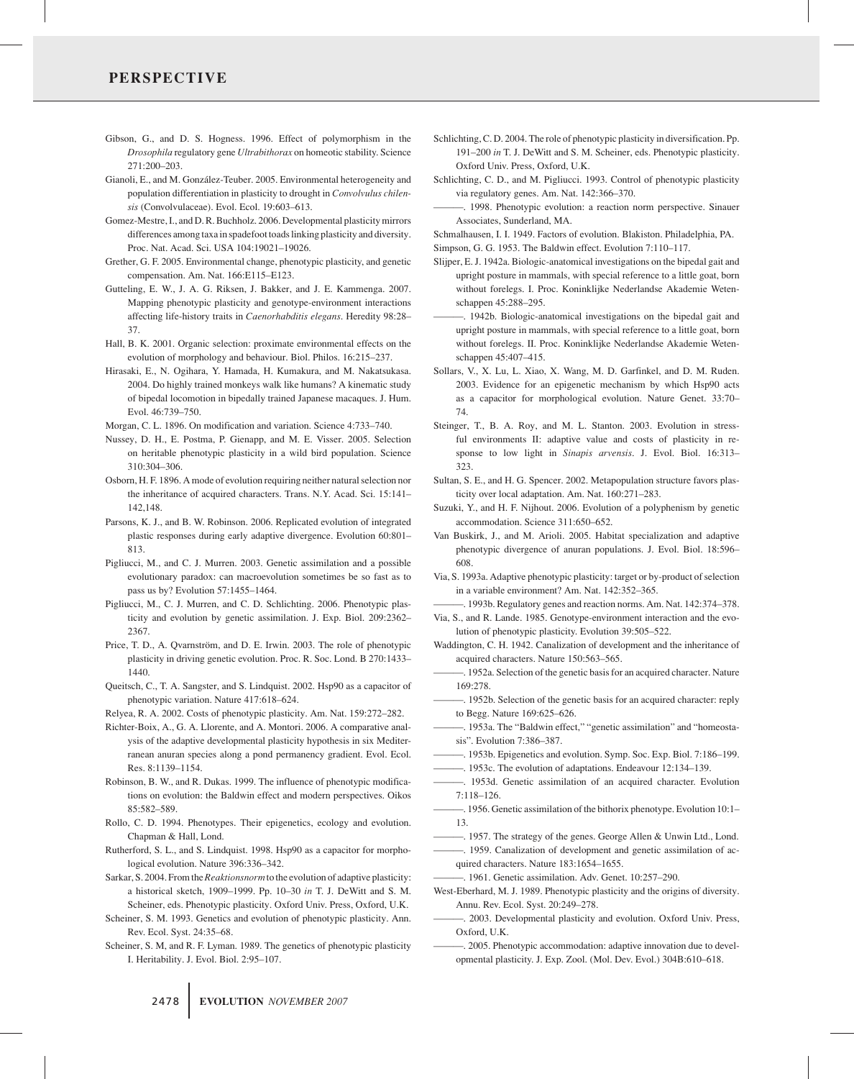- Gibson, G., and D. S. Hogness. 1996. Effect of polymorphism in the *Drosophila* regulatory gene *Ultrabithorax* on homeotic stability. Science 271:200–203.
- Gianoli, E., and M. González-Teuber. 2005. Environmental heterogeneity and population differentiation in plasticity to drought in *Convolvulus chilensis* (Convolvulaceae). Evol. Ecol. 19:603–613.
- Gomez-Mestre, I., and D. R. Buchholz. 2006. Developmental plasticity mirrors differences among taxa in spadefoot toads linking plasticity and diversity. Proc. Nat. Acad. Sci. USA 104:19021–19026.
- Grether, G. F. 2005. Environmental change, phenotypic plasticity, and genetic compensation. Am. Nat. 166:E115–E123.
- Gutteling, E. W., J. A. G. Riksen, J. Bakker, and J. E. Kammenga. 2007. Mapping phenotypic plasticity and genotype-environment interactions affecting life-history traits in *Caenorhabditis elegans*. Heredity 98:28– 37.
- Hall, B. K. 2001. Organic selection: proximate environmental effects on the evolution of morphology and behaviour. Biol. Philos. 16:215–237.
- Hirasaki, E., N. Ogihara, Y. Hamada, H. Kumakura, and M. Nakatsukasa. 2004. Do highly trained monkeys walk like humans? A kinematic study of bipedal locomotion in bipedally trained Japanese macaques. J. Hum. Evol. 46:739–750.
- Morgan, C. L. 1896. On modification and variation. Science 4:733–740.
- Nussey, D. H., E. Postma, P. Gienapp, and M. E. Visser. 2005. Selection on heritable phenotypic plasticity in a wild bird population. Science 310:304–306.
- Osborn, H. F. 1896. A mode of evolution requiring neither natural selection nor the inheritance of acquired characters. Trans. N.Y. Acad. Sci. 15:141– 142,148.
- Parsons, K. J., and B. W. Robinson. 2006. Replicated evolution of integrated plastic responses during early adaptive divergence. Evolution 60:801– 813.
- Pigliucci, M., and C. J. Murren. 2003. Genetic assimilation and a possible evolutionary paradox: can macroevolution sometimes be so fast as to pass us by? Evolution 57:1455–1464.
- Pigliucci, M., C. J. Murren, and C. D. Schlichting. 2006. Phenotypic plasticity and evolution by genetic assimilation. J. Exp. Biol. 209:2362– 2367.
- Price, T. D., A. Qvarnström, and D. E. Irwin. 2003. The role of phenotypic plasticity in driving genetic evolution. Proc. R. Soc. Lond. B 270:1433– 1440.
- Queitsch, C., T. A. Sangster, and S. Lindquist. 2002. Hsp90 as a capacitor of phenotypic variation. Nature 417:618–624.
- Relyea, R. A. 2002. Costs of phenotypic plasticity. Am. Nat. 159:272–282.
- Richter-Boix, A., G. A. Llorente, and A. Montori. 2006. A comparative analysis of the adaptive developmental plasticity hypothesis in six Mediterranean anuran species along a pond permanency gradient. Evol. Ecol. Res. 8:1139–1154.
- Robinson, B. W., and R. Dukas. 1999. The influence of phenotypic modifications on evolution: the Baldwin effect and modern perspectives. Oikos 85:582–589.
- Rollo, C. D. 1994. Phenotypes. Their epigenetics, ecology and evolution. Chapman & Hall, Lond.
- Rutherford, S. L., and S. Lindquist. 1998. Hsp90 as a capacitor for morphological evolution. Nature 396:336–342.
- Sarkar, S. 2004. From the*Reaktionsnorm*to the evolution of adaptive plasticity: a historical sketch, 1909–1999. Pp. 10–30 *in* T. J. DeWitt and S. M. Scheiner, eds. Phenotypic plasticity. Oxford Univ. Press, Oxford, U.K.
- Scheiner, S. M. 1993. Genetics and evolution of phenotypic plasticity. Ann. Rev. Ecol. Syst. 24:35–68.
- Scheiner, S. M, and R. F. Lyman. 1989. The genetics of phenotypic plasticity I. Heritability. J. Evol. Biol. 2:95–107.
- Schlichting, C. D. 2004. The role of phenotypic plasticity in diversification. Pp. 191–200 *in* T. J. DeWitt and S. M. Scheiner, eds. Phenotypic plasticity. Oxford Univ. Press, Oxford, U.K.
- Schlichting, C. D., and M. Pigliucci. 1993. Control of phenotypic plasticity via regulatory genes. Am. Nat. 142:366–370.
- -. 1998. Phenotypic evolution: a reaction norm perspective. Sinauer Associates, Sunderland, MA.

Schmalhausen, I. I. 1949. Factors of evolution. Blakiston. Philadelphia, PA. Simpson, G. G. 1953. The Baldwin effect. Evolution 7:110–117.

- Slijper, E. J. 1942a. Biologic-anatomical investigations on the bipedal gait and upright posture in mammals, with special reference to a little goat, born without forelegs. I. Proc. Koninklijke Nederlandse Akademie Wetenschappen 45:288–295.
- -. 1942b. Biologic-anatomical investigations on the bipedal gait and upright posture in mammals, with special reference to a little goat, born without forelegs. II. Proc. Koninklijke Nederlandse Akademie Wetenschappen 45:407–415.
- Sollars, V., X. Lu, L. Xiao, X. Wang, M. D. Garfinkel, and D. M. Ruden. 2003. Evidence for an epigenetic mechanism by which Hsp90 acts as a capacitor for morphological evolution. Nature Genet. 33:70– 74.
- Steinger, T., B. A. Roy, and M. L. Stanton. 2003. Evolution in stressful environments II: adaptive value and costs of plasticity in response to low light in *Sinapis arvensis*. J. Evol. Biol. 16:313– 323.
- Sultan, S. E., and H. G. Spencer. 2002. Metapopulation structure favors plasticity over local adaptation. Am. Nat. 160:271–283.
- Suzuki, Y., and H. F. Nijhout. 2006. Evolution of a polyphenism by genetic accommodation. Science 311:650–652.
- Van Buskirk, J., and M. Arioli. 2005. Habitat specialization and adaptive phenotypic divergence of anuran populations. J. Evol. Biol. 18:596– 608.
- Via, S. 1993a. Adaptive phenotypic plasticity: target or by-product of selection in a variable environment? Am. Nat. 142:352–365.
- -. 1993b. Regulatory genes and reaction norms. Am. Nat. 142:374–378.
- Via, S., and R. Lande. 1985. Genotype-environment interaction and the evolution of phenotypic plasticity. Evolution 39:505–522.
- Waddington, C. H. 1942. Canalization of development and the inheritance of acquired characters. Nature 150:563–565.
- -. 1952a. Selection of the genetic basis for an acquired character. Nature 169:278.
- ———. 1952b. Selection of the genetic basis for an acquired character: reply to Begg. Nature 169:625–626.
- ———. 1953a. The "Baldwin effect," "genetic assimilation" and "homeostasis". Evolution 7:386–387.
- ———. 1953b. Epigenetics and evolution. Symp. Soc. Exp. Biol. 7:186–199. ———. 1953c. The evolution of adaptations. Endeavour 12:134–139.
- ———. 1953d. Genetic assimilation of an acquired character. Evolution
- 7:118–126. ———. 1956. Genetic assimilation of the bithorix phenotype. Evolution 10:1–
- 13. - 1957. The strategy of the genes. George Allen & Unwin Ltd., Lond. ———. 1959. Canalization of development and genetic assimilation of ac-
- quired characters. Nature 183:1654–1655. ———. 1961. Genetic assimilation. Adv. Genet. 10:257–290.
- West-Eberhard, M. J. 1989. Phenotypic plasticity and the origins of diversity. Annu. Rev. Ecol. Syst. 20:249–278.
- -. 2003. Developmental plasticity and evolution. Oxford Univ. Press, Oxford, U.K.
- ———. 2005. Phenotypic accommodation: adaptive innovation due to developmental plasticity. J. Exp. Zool. (Mol. Dev. Evol.) 304B:610–618.